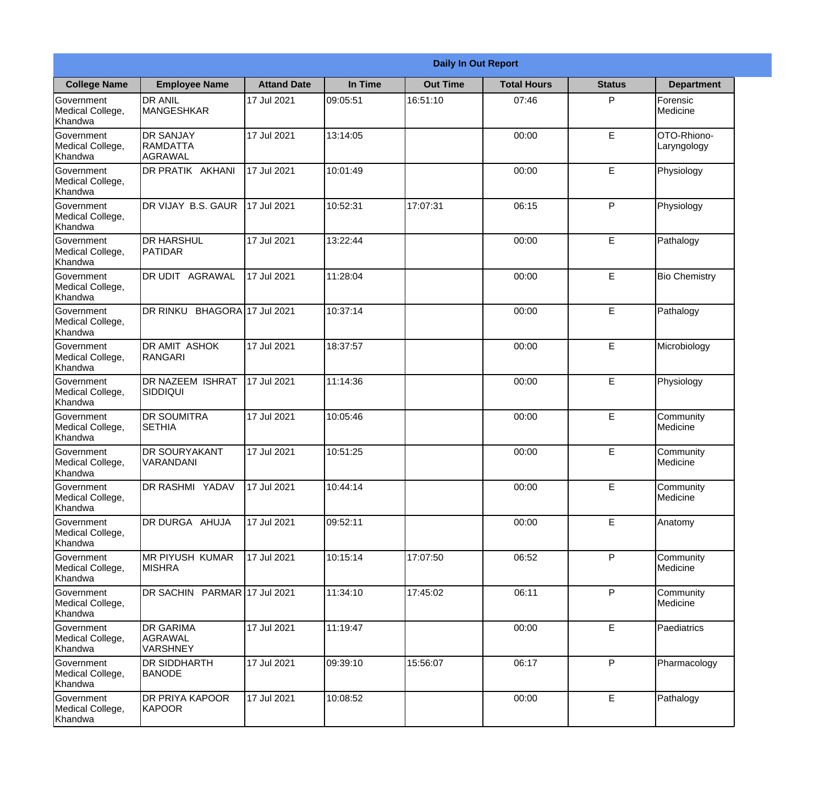|                                                  |                                                |                    |          | <b>Daily In Out Report</b> |                    |               |                            |
|--------------------------------------------------|------------------------------------------------|--------------------|----------|----------------------------|--------------------|---------------|----------------------------|
| <b>College Name</b>                              | <b>Employee Name</b>                           | <b>Attand Date</b> | In Time  | <b>Out Time</b>            | <b>Total Hours</b> | <b>Status</b> | <b>Department</b>          |
| Government<br>Medical College,<br>Khandwa        | <b>DR ANIL</b><br><b>MANGESHKAR</b>            | 17 Jul 2021        | 09:05:51 | 16:51:10                   | 07:46              | P             | Forensic<br>Medicine       |
| Government<br>Medical College,<br>Khandwa        | <b>DR SANJAY</b><br><b>RAMDATTA</b><br>AGRAWAL | 17 Jul 2021        | 13:14:05 |                            | 00:00              | $\mathsf E$   | OTO-Rhiono-<br>Laryngology |
| Government<br>Medical College,<br>Khandwa        | <b>DR PRATIK AKHANI</b>                        | 17 Jul 2021        | 10:01:49 |                            | 00:00              | E             | Physiology                 |
| <b>Government</b><br>Medical College,<br>Khandwa | DR VIJAY B.S. GAUR                             | 17 Jul 2021        | 10:52:31 | 17:07:31                   | 06:15              | P             | Physiology                 |
| Government<br>Medical College,<br>Khandwa        | <b>DR HARSHUL</b><br>PATIDAR                   | 17 Jul 2021        | 13:22:44 |                            | 00:00              | E             | Pathalogy                  |
| <b>Government</b><br>Medical College,<br>Khandwa | DR UDIT AGRAWAL                                | 17 Jul 2021        | 11:28:04 |                            | 00:00              | E             | <b>Bio Chemistry</b>       |
| <b>Government</b><br>Medical College,<br>Khandwa | DR RINKU BHAGORA 17 Jul 2021                   |                    | 10:37:14 |                            | 00:00              | E             | Pathalogy                  |
| <b>Government</b><br>Medical College,<br>Khandwa | DR AMIT ASHOK<br>RANGARI                       | 17 Jul 2021        | 18:37:57 |                            | 00:00              | E             | Microbiology               |
| Government<br>Medical College,<br>Khandwa        | DR NAZEEM ISHRAT<br>SIDDIQUI                   | 17 Jul 2021        | 11:14:36 |                            | 00:00              | E             | Physiology                 |
| Government<br>Medical College,<br>Khandwa        | <b>DR SOUMITRA</b><br><b>SETHIA</b>            | 17 Jul 2021        | 10:05:46 |                            | 00:00              | E             | Community<br>Medicine      |
| Government<br>Medical College,<br>Khandwa        | <b>DR SOURYAKANT</b><br>VARANDANI              | 17 Jul 2021        | 10:51:25 |                            | 00:00              | E             | Community<br>Medicine      |
| Government<br>Medical College,<br>Khandwa        | <b>DR RASHMI YADAV</b>                         | 17 Jul 2021        | 10:44:14 |                            | 00:00              | E             | Community<br>Medicine      |
| Government<br>Medical College,<br>Khandwa        | DR DURGA AHUJA                                 | 17 Jul 2021        | 09:52:11 |                            | 00:00              | E             | Anatomy                    |
| Government<br>Medical College,<br>Khandwa        | MR PIYUSH KUMAR<br><b>MISHRA</b>               | 17 Jul 2021        | 10:15:14 | 17:07:50                   | 06:52              | P             | Community<br>Medicine      |
| Government<br>Medical College,<br>Khandwa        | DR SACHIN PARMAR 17 Jul 2021                   |                    | 11:34:10 | 17:45:02                   | 06:11              | P             | Community<br>Medicine      |
| Government<br>Medical College,<br>Khandwa        | <b>DR GARIMA</b><br>AGRAWAL<br><b>VARSHNEY</b> | 17 Jul 2021        | 11:19:47 |                            | 00:00              | E             | Paediatrics                |
| Government<br>Medical College,<br>Khandwa        | DR SIDDHARTH<br><b>BANODE</b>                  | 17 Jul 2021        | 09:39:10 | 15:56:07                   | 06:17              | P             | Pharmacology               |
| Government<br>Medical College,<br>Khandwa        | <b>DR PRIYA KAPOOR</b><br>KAPOOR               | 17 Jul 2021        | 10:08:52 |                            | 00:00              | $\mathsf E$   | Pathalogy                  |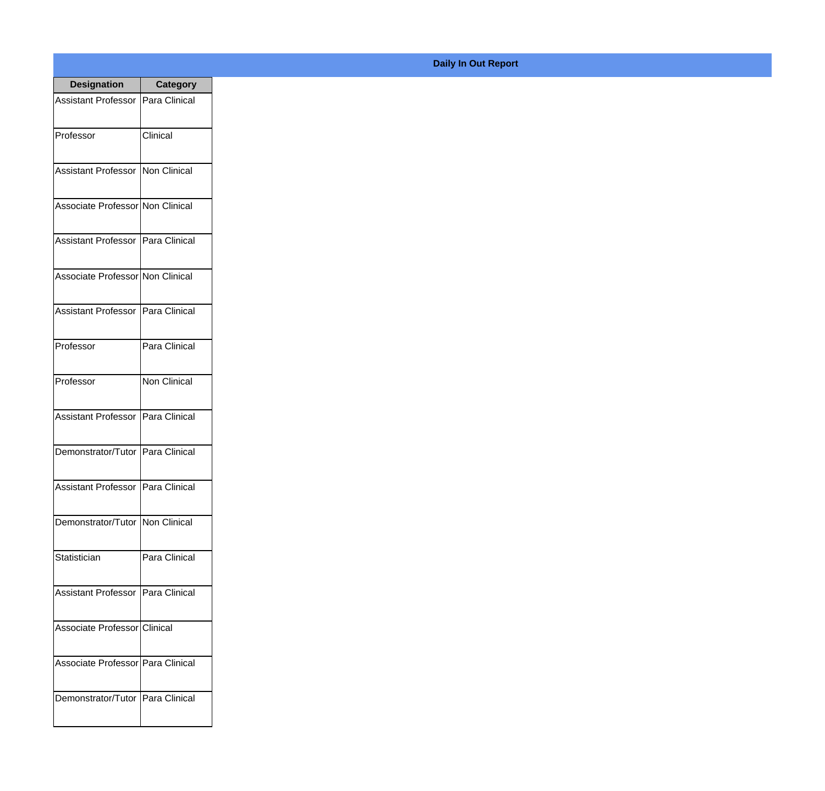| <b>Designation</b>                  | <b>Category</b>     |
|-------------------------------------|---------------------|
| Assistant Professor   Para Clinical |                     |
| Professor                           | Clinical            |
| Assistant Professor   Non Clinical  |                     |
| Associate Professor Non Clinical    |                     |
| Assistant Professor   Para Clinical |                     |
| Associate Professor Non Clinical    |                     |
| Assistant Professor   Para Clinical |                     |
| Professor                           | Para Clinical       |
| Professor                           | <b>Non Clinical</b> |
| <b>Assistant Professor</b>          | Para Clinical       |
| Demonstrator/Tutor   Para Clinical  |                     |
| Assistant Professor   Para Clinical |                     |
| Demonstrator/Tutor   Non Clinical   |                     |
| Statistician                        | Para Clinical       |
| Assistant Professor   Para Clinical |                     |
| Associate Professor Clinical        |                     |
| Associate Professor   Para Clinical |                     |
| Demonstrator/Tutor   Para Clinical  |                     |

## **Daily In Out Report**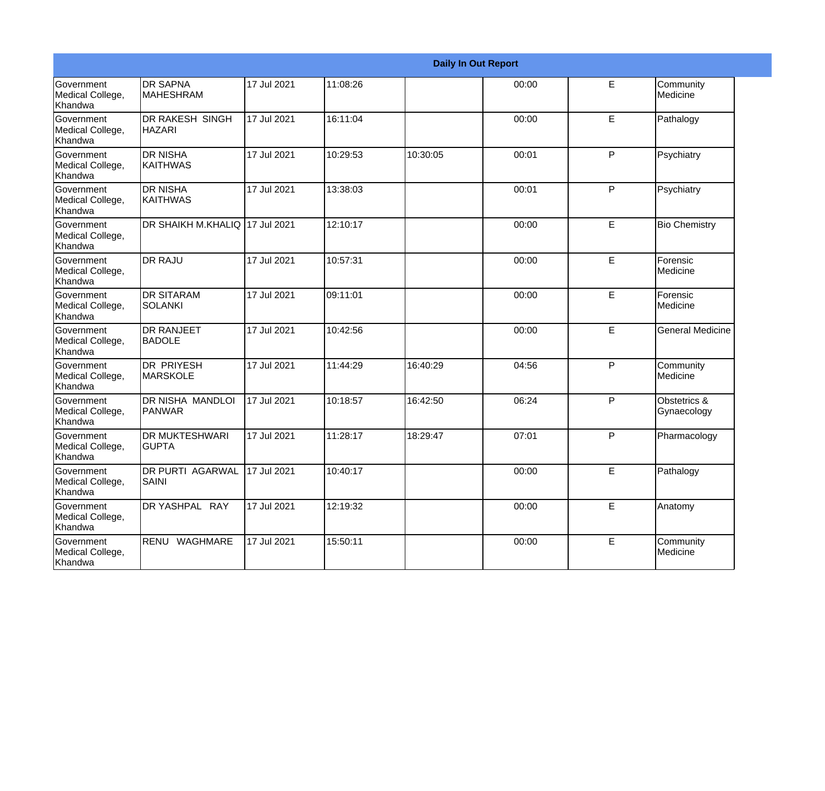|                                                  |                                         | <b>Daily In Out Report</b> |          |          |       |   |                             |  |
|--------------------------------------------------|-----------------------------------------|----------------------------|----------|----------|-------|---|-----------------------------|--|
| Government<br>Medical College,<br>Khandwa        | <b>DR SAPNA</b><br>MAHESHRAM            | 17 Jul 2021                | 11:08:26 |          | 00:00 | E | Community<br>Medicine       |  |
| Government<br>Medical College,<br>Khandwa        | <b>DR RAKESH SINGH</b><br><b>HAZARI</b> | 17 Jul 2021                | 16:11:04 |          | 00:00 | E | Pathalogy                   |  |
| Government<br>Medical College,<br>Khandwa        | <b>DR NISHA</b><br><b>KAITHWAS</b>      | 17 Jul 2021                | 10:29:53 | 10:30:05 | 00:01 | P | Psychiatry                  |  |
| Government<br>Medical College,<br>Khandwa        | <b>DR NISHA</b><br>KAITHWAS             | 17 Jul 2021                | 13:38:03 |          | 00:01 | P | Psychiatry                  |  |
| Government<br>Medical College,<br>Khandwa        | DR SHAIKH M.KHALIQ                      | 17 Jul 2021                | 12:10:17 |          | 00:00 | E | <b>Bio Chemistry</b>        |  |
| Government<br>Medical College,<br>Khandwa        | <b>DR RAJU</b>                          | 17 Jul 2021                | 10:57:31 |          | 00:00 | E | Forensic<br>Medicine        |  |
| Government<br>Medical College,<br>Khandwa        | <b>DR SITARAM</b><br><b>SOLANKI</b>     | 17 Jul 2021                | 09:11:01 |          | 00:00 | E | Forensic<br>Medicine        |  |
| Government<br>Medical College,<br>Khandwa        | <b>DR RANJEET</b><br><b>BADOLE</b>      | 17 Jul 2021                | 10:42:56 |          | 00:00 | E | <b>General Medicine</b>     |  |
| Government<br>Medical College,<br>Khandwa        | <b>DR PRIYESH</b><br>MARSKOLE           | 17 Jul 2021                | 11:44:29 | 16:40:29 | 04:56 | P | Community<br>Medicine       |  |
| Government<br>Medical College,<br>Khandwa        | DR NISHA MANDLOI<br>PANWAR              | 17 Jul 2021                | 10:18:57 | 16:42:50 | 06:24 | P | Obstetrics &<br>Gynaecology |  |
| Government<br>Medical College,<br>Khandwa        | <b>DR MUKTESHWARI</b><br><b>GUPTA</b>   | 17 Jul 2021                | 11:28:17 | 18:29:47 | 07:01 | P | Pharmacology                |  |
| <b>Government</b><br>Medical College,<br>Khandwa | <b>DR PURTI AGARWAL</b><br><b>SAINI</b> | 17 Jul 2021                | 10:40:17 |          | 00:00 | E | Pathalogy                   |  |
| Government<br>Medical College,<br>Khandwa        | DR YASHPAL RAY                          | 17 Jul 2021                | 12:19:32 |          | 00:00 | E | Anatomy                     |  |
| Government<br>Medical College,<br>Khandwa        | RENU WAGHMARE                           | 17 Jul 2021                | 15:50:11 |          | 00:00 | E | Community<br>Medicine       |  |